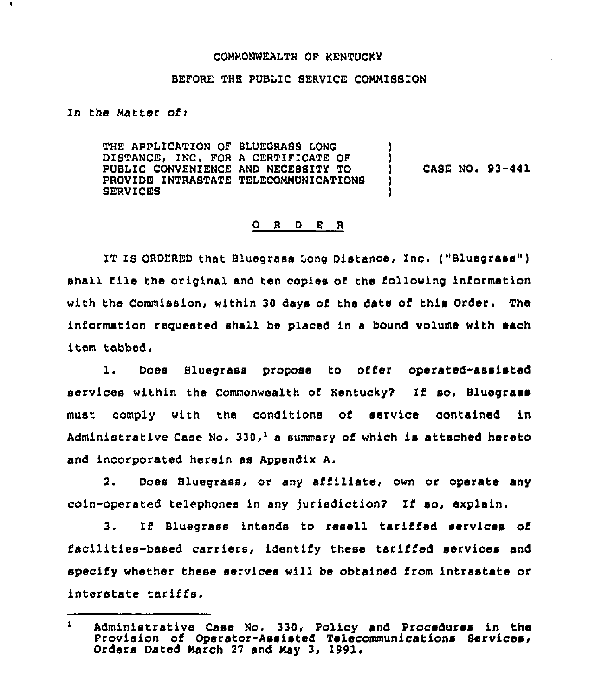#### COMMONWEALTH OF KENTUCKY

## BEFORE THE PUBLIC SERVICE COMMISSION

In the Matter of $<sub>1</sub>$ </sub>

THE APPLICATION OF BLUEGRASS LONG DISTANCE, INC. FOR A CERTIFICATE OF PUBLIC CONVENIENCE AND NECESSITY TQ PROVIDE INTRASTATE TELECOMMUNICATIONS SERVICES ) ) ) )

) CASE NO <sup>~</sup> 93-441

#### 0 <sup>R</sup> <sup>D</sup> <sup>E</sup> <sup>R</sup>

IT IS ORDERED that Bluegrass Long Distance, Inc. ("Bluegrass" ) shall file the original and ten copies of the following information with the Commission, within 30 days of the date of this Order. The information requested shall be placed in a bound volume with each item tabbed.

l. Does Bluegrass propose to offer operated-assisted services within the Commonwealth of Kentucky? If so, Bluegrass must comply with the conditions of service contained in Administrative Case No. 330,<sup>1</sup> a summary of which is attached hereto and incorporated herein as Appendix A.

2. Does Bluegrass, or any affiliate, own or operate any coin-operated telephones in any jurisdiction? If so, explain.

3. If Bluegrass intends to resell tariffed services of facilities-based carriers, identify these tariffed services and specify whether these services will be obtained from intrastate or interstate tariffs.

 $\mathbf{1}$ Administrative Case No. 330, Policy and Procedures in the Provision of Operator-Assisted Telecommunications Services, Orders Dated March <sup>27</sup> and May 3, 1991.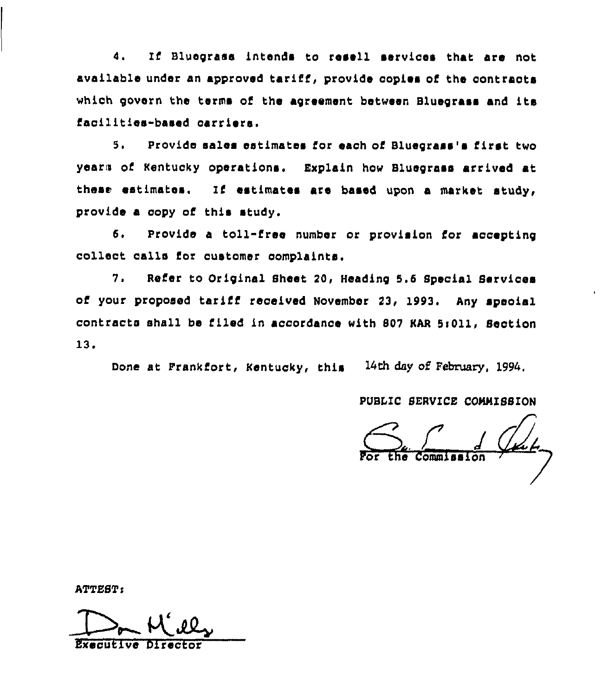4. If Bluegrass intends to resell services that are not available under an approved tariff, provide copies of the contracts which govern the terms of the agreement between Bluegrass and its facilities-based carriers.

5. Provide sales estimates for each of Bluegrass's first two years of Kentucky operations. Explain how Bluegrass arrived at these estimates. If estimates are based upon a market study, provide a copy of this study.

6. Provide <sup>a</sup> toll-tree number or provision for accepting collect calls for customer complaints,

7. Refer to Original Sheet 20, Heading 5.6 Special Services of your proposed tariff received November 23, 1993. Any speoial contracts shall be filed in accordance with 607 KAR 5i011, Section 13.

Done at Frankfort, Kentucky, this <sup>14th</sup> day of February, 1994.

PUBLIC SERVICE COMMISSION

For the Commissio

ATTeSTs

**Precutive Direct**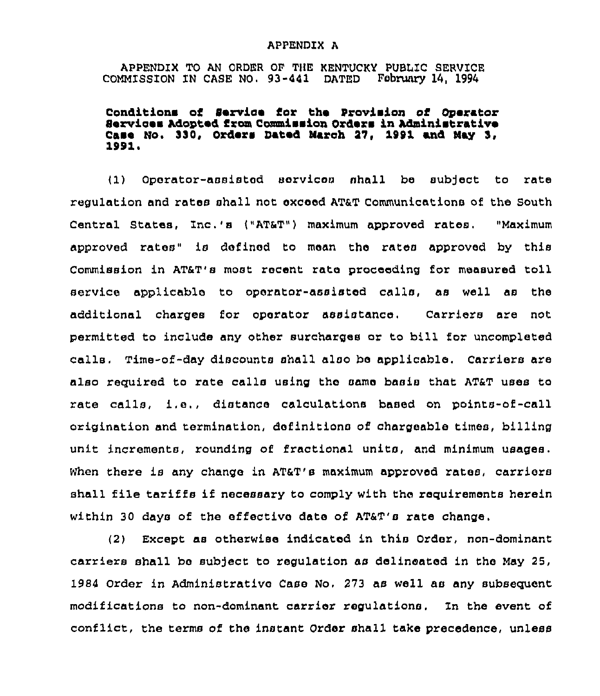### APPENDIX A

APPENDIX TO AN ORDER OF THE KENTUCKY PUBLIC SERVICE COMMISSION IN CASE NO. 93-441 DATED

# Conditions of Service for the proviskon ot Operator Services Adopted from Commission Orders in Administrative Case No. 330, Orders Dated March 27, 1991 and May 3,<br>1991.

(I) Operator-assisted services shall be subject to rate regulation and rates shall not exceed AT&T Communications of the South Central States, Inc.'s ("AT&T") maximum approved rates. "Maximu approved rates" is defined to mean the rates approved by this Commission in AT6T's most recent rata proceeding for measured toll service applicablo to operator-assisted calls, as well as the additional charges for operatox assistance, Caxriers are not permitted to include any other surcharges or to bill for uncompleted calls. Time-of-day discounts shall also be applicable. Carxiers are also required to rate calls using the same basis that ATxT uses to rate calls, i.e,, distance calculations based on points-of -call origination and termination, definitions of chargeable times, billing unit incxements, rounding of fractional units, and minimum usages. When there is any change in AT&T's maximum approved rates, carriers shall file tariffs if necessary to comply with the requirements herein within 30 days of the effective date of AT&T's rate change.

(2) Except as othex'wise indicated in this Order, non-dominant carriers shall be sub)act to regulation as delineated in the May 25, 1984 Order in Administrative Case No. 273 as well as any subsequent modifications to non-dominant carrier regulations. In the event of conflict, the terms of the instant Order shall take precedence, unless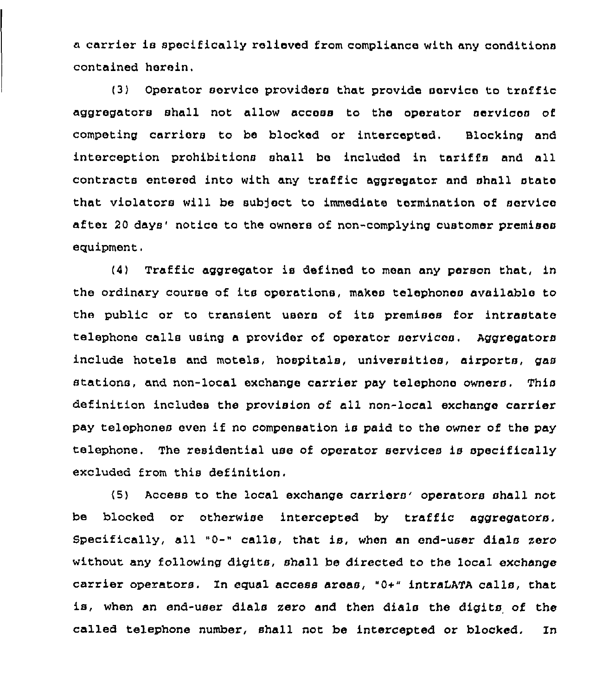a carrier is specifically relieved from compliance with any conditions contained herein.

(3} Operator service providers that provide service to traffic aggregators shall not allow access to the operator services of competing carriers to be blocked or intercepted, Blocking and interception prohibitions shall be included in tariffs and all contracts entered into with any traffic aggregator and shall state that violators will be subject to immediate termination of service after 20 days' notice to the owners of non-complying customer premises equipment.

(4) Traffic aggregator is defined to mean any parson that, in the ordinary course of its operations, makes telephones available to the public or to transient users of its premises for intrastate telephone calls using a provider of operator services. Aggregators include hotels and motels, hospitals, universities, airports, gas stations, and non-local exchange carrier pay telephone owners. This definition includes the provision of all non-local exchange carrier pay telephones even if no compensation is paid to the owner of the pay telephone. The residential use of operator services is specifically excluded from this definition.

 $(5)$  Access to the local exchange carriers' operators shall not be blocked or otherwise intercepted by traffic aggregators, Specifically, all "0-" calls, that is, when an end-user dials rero without any following digits, shall be directed to the local exchange carrier operators. In equal access areas, "0+" intrsLATA calls, that is, when an end-user dials zero and then dials the digits of the called telephone number, shall not be intercepted or blocked. ln